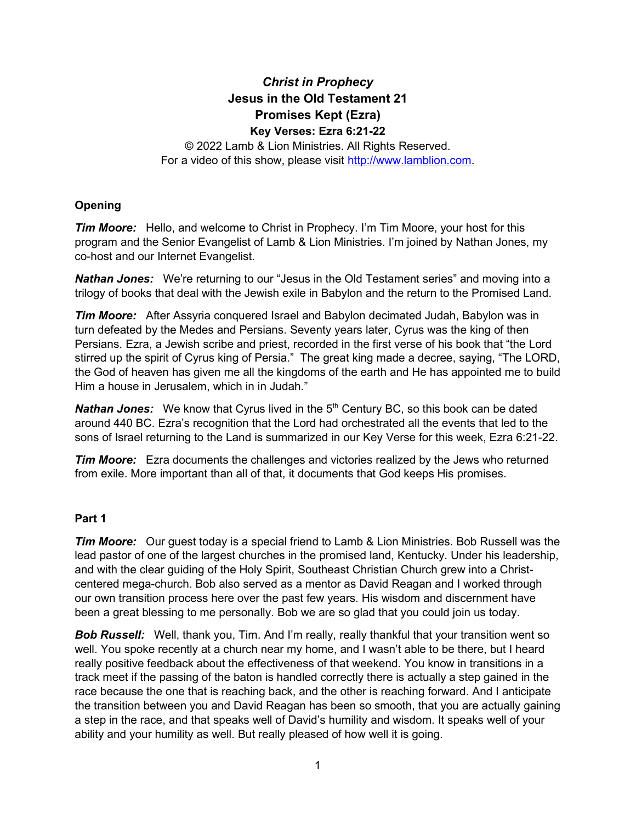## *Christ in Prophecy* **Jesus in the Old Testament 21 Promises Kept (Ezra) Key Verses: Ezra 6:21-22**

© 2022 Lamb & Lion Ministries. All Rights Reserved. For a video of this show, please visit [http://www.lamblion.com.](http://www.lamblion.com/)

## **Opening**

*Tim Moore:* Hello, and welcome to Christ in Prophecy. I'm Tim Moore, your host for this program and the Senior Evangelist of Lamb & Lion Ministries. I'm joined by Nathan Jones, my co-host and our Internet Evangelist.

*Nathan Jones:* We're returning to our "Jesus in the Old Testament series" and moving into a trilogy of books that deal with the Jewish exile in Babylon and the return to the Promised Land.

*Tim Moore:* After Assyria conquered Israel and Babylon decimated Judah, Babylon was in turn defeated by the Medes and Persians. Seventy years later, Cyrus was the king of then Persians. Ezra, a Jewish scribe and priest, recorded in the first verse of his book that "the Lord stirred up the spirit of Cyrus king of Persia." The great king made a decree, saying, "The LORD, the God of heaven has given me all the kingdoms of the earth and He has appointed me to build Him a house in Jerusalem, which in in Judah."

**Nathan Jones:** We know that Cyrus lived in the 5<sup>th</sup> Century BC, so this book can be dated around 440 BC. Ezra's recognition that the Lord had orchestrated all the events that led to the sons of Israel returning to the Land is summarized in our Key Verse for this week, Ezra 6:21-22.

*Tim Moore:* Ezra documents the challenges and victories realized by the Jews who returned from exile. More important than all of that, it documents that God keeps His promises.

## **Part 1**

*Tim Moore:* Our guest today is a special friend to Lamb & Lion Ministries. Bob Russell was the lead pastor of one of the largest churches in the promised land, Kentucky. Under his leadership, and with the clear guiding of the Holy Spirit, Southeast Christian Church grew into a Christcentered mega-church. Bob also served as a mentor as David Reagan and I worked through our own transition process here over the past few years. His wisdom and discernment have been a great blessing to me personally. Bob we are so glad that you could join us today.

**Bob Russell:** Well, thank you, Tim. And I'm really, really thankful that your transition went so well. You spoke recently at a church near my home, and I wasn't able to be there, but I heard really positive feedback about the effectiveness of that weekend. You know in transitions in a track meet if the passing of the baton is handled correctly there is actually a step gained in the race because the one that is reaching back, and the other is reaching forward. And I anticipate the transition between you and David Reagan has been so smooth, that you are actually gaining a step in the race, and that speaks well of David's humility and wisdom. It speaks well of your ability and your humility as well. But really pleased of how well it is going.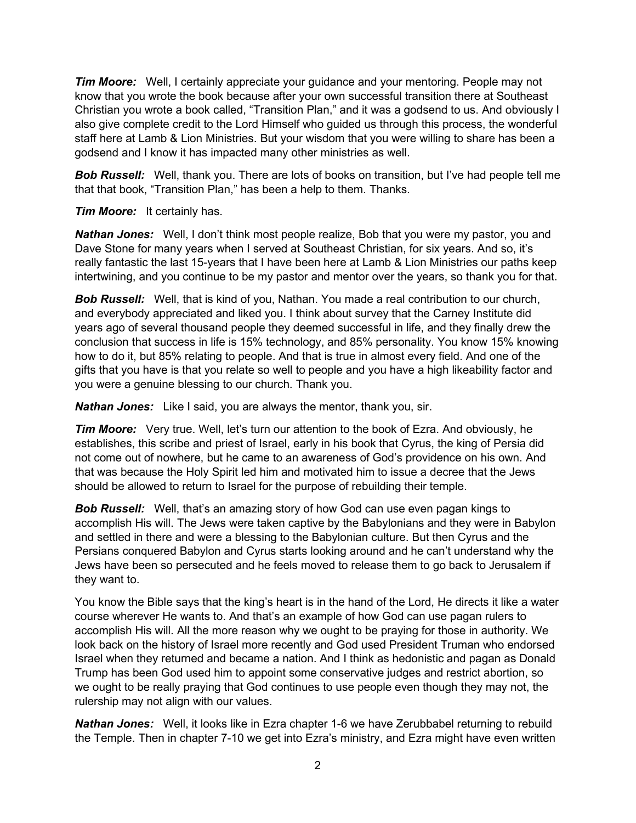*Tim Moore:* Well, I certainly appreciate your guidance and your mentoring. People may not know that you wrote the book because after your own successful transition there at Southeast Christian you wrote a book called, "Transition Plan," and it was a godsend to us. And obviously I also give complete credit to the Lord Himself who guided us through this process, the wonderful staff here at Lamb & Lion Ministries. But your wisdom that you were willing to share has been a godsend and I know it has impacted many other ministries as well.

**Bob Russell:** Well, thank you. There are lots of books on transition, but I've had people tell me that that book, "Transition Plan," has been a help to them. Thanks.

*Tim Moore:* It certainly has.

*Nathan Jones:* Well, I don't think most people realize, Bob that you were my pastor, you and Dave Stone for many years when I served at Southeast Christian, for six years. And so, it's really fantastic the last 15-years that I have been here at Lamb & Lion Ministries our paths keep intertwining, and you continue to be my pastor and mentor over the years, so thank you for that.

**Bob Russell:** Well, that is kind of you, Nathan. You made a real contribution to our church, and everybody appreciated and liked you. I think about survey that the Carney Institute did years ago of several thousand people they deemed successful in life, and they finally drew the conclusion that success in life is 15% technology, and 85% personality. You know 15% knowing how to do it, but 85% relating to people. And that is true in almost every field. And one of the gifts that you have is that you relate so well to people and you have a high likeability factor and you were a genuine blessing to our church. Thank you.

*Nathan Jones:* Like I said, you are always the mentor, thank you, sir.

*Tim Moore:* Very true. Well, let's turn our attention to the book of Ezra. And obviously, he establishes, this scribe and priest of Israel, early in his book that Cyrus, the king of Persia did not come out of nowhere, but he came to an awareness of God's providence on his own. And that was because the Holy Spirit led him and motivated him to issue a decree that the Jews should be allowed to return to Israel for the purpose of rebuilding their temple.

*Bob Russell:* Well, that's an amazing story of how God can use even pagan kings to accomplish His will. The Jews were taken captive by the Babylonians and they were in Babylon and settled in there and were a blessing to the Babylonian culture. But then Cyrus and the Persians conquered Babylon and Cyrus starts looking around and he can't understand why the Jews have been so persecuted and he feels moved to release them to go back to Jerusalem if they want to.

You know the Bible says that the king's heart is in the hand of the Lord, He directs it like a water course wherever He wants to. And that's an example of how God can use pagan rulers to accomplish His will. All the more reason why we ought to be praying for those in authority. We look back on the history of Israel more recently and God used President Truman who endorsed Israel when they returned and became a nation. And I think as hedonistic and pagan as Donald Trump has been God used him to appoint some conservative judges and restrict abortion, so we ought to be really praying that God continues to use people even though they may not, the rulership may not align with our values.

*Nathan Jones:* Well, it looks like in Ezra chapter 1-6 we have Zerubbabel returning to rebuild the Temple. Then in chapter 7-10 we get into Ezra's ministry, and Ezra might have even written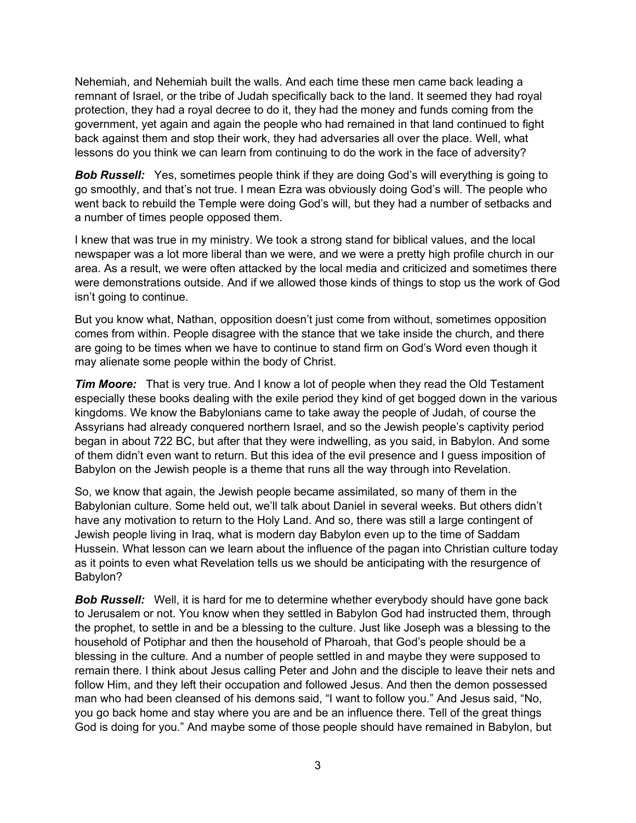Nehemiah, and Nehemiah built the walls. And each time these men came back leading a remnant of Israel, or the tribe of Judah specifically back to the land. It seemed they had royal protection, they had a royal decree to do it, they had the money and funds coming from the government, yet again and again the people who had remained in that land continued to fight back against them and stop their work, they had adversaries all over the place. Well, what lessons do you think we can learn from continuing to do the work in the face of adversity?

**Bob Russell:** Yes, sometimes people think if they are doing God's will everything is going to go smoothly, and that's not true. I mean Ezra was obviously doing God's will. The people who went back to rebuild the Temple were doing God's will, but they had a number of setbacks and a number of times people opposed them.

I knew that was true in my ministry. We took a strong stand for biblical values, and the local newspaper was a lot more liberal than we were, and we were a pretty high profile church in our area. As a result, we were often attacked by the local media and criticized and sometimes there were demonstrations outside. And if we allowed those kinds of things to stop us the work of God isn't going to continue.

But you know what, Nathan, opposition doesn't just come from without, sometimes opposition comes from within. People disagree with the stance that we take inside the church, and there are going to be times when we have to continue to stand firm on God's Word even though it may alienate some people within the body of Christ.

*Tim Moore:* That is very true. And I know a lot of people when they read the Old Testament especially these books dealing with the exile period they kind of get bogged down in the various kingdoms. We know the Babylonians came to take away the people of Judah, of course the Assyrians had already conquered northern Israel, and so the Jewish people's captivity period began in about 722 BC, but after that they were indwelling, as you said, in Babylon. And some of them didn't even want to return. But this idea of the evil presence and I guess imposition of Babylon on the Jewish people is a theme that runs all the way through into Revelation.

So, we know that again, the Jewish people became assimilated, so many of them in the Babylonian culture. Some held out, we'll talk about Daniel in several weeks. But others didn't have any motivation to return to the Holy Land. And so, there was still a large contingent of Jewish people living in Iraq, what is modern day Babylon even up to the time of Saddam Hussein. What lesson can we learn about the influence of the pagan into Christian culture today as it points to even what Revelation tells us we should be anticipating with the resurgence of Babylon?

**Bob Russell:** Well, it is hard for me to determine whether everybody should have gone back to Jerusalem or not. You know when they settled in Babylon God had instructed them, through the prophet, to settle in and be a blessing to the culture. Just like Joseph was a blessing to the household of Potiphar and then the household of Pharoah, that God's people should be a blessing in the culture. And a number of people settled in and maybe they were supposed to remain there. I think about Jesus calling Peter and John and the disciple to leave their nets and follow Him, and they left their occupation and followed Jesus. And then the demon possessed man who had been cleansed of his demons said, "I want to follow you." And Jesus said, "No, you go back home and stay where you are and be an influence there. Tell of the great things God is doing for you." And maybe some of those people should have remained in Babylon, but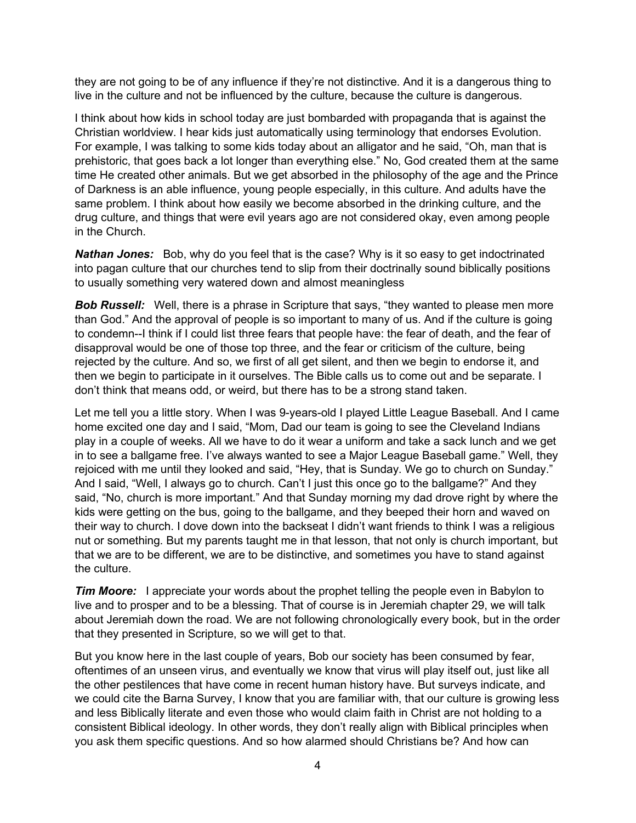they are not going to be of any influence if they're not distinctive. And it is a dangerous thing to live in the culture and not be influenced by the culture, because the culture is dangerous.

I think about how kids in school today are just bombarded with propaganda that is against the Christian worldview. I hear kids just automatically using terminology that endorses Evolution. For example, I was talking to some kids today about an alligator and he said, "Oh, man that is prehistoric, that goes back a lot longer than everything else." No, God created them at the same time He created other animals. But we get absorbed in the philosophy of the age and the Prince of Darkness is an able influence, young people especially, in this culture. And adults have the same problem. I think about how easily we become absorbed in the drinking culture, and the drug culture, and things that were evil years ago are not considered okay, even among people in the Church.

*Nathan Jones:* Bob, why do you feel that is the case? Why is it so easy to get indoctrinated into pagan culture that our churches tend to slip from their doctrinally sound biblically positions to usually something very watered down and almost meaningless

**Bob Russell:** Well, there is a phrase in Scripture that says, "they wanted to please men more than God." And the approval of people is so important to many of us. And if the culture is going to condemn--I think if I could list three fears that people have: the fear of death, and the fear of disapproval would be one of those top three, and the fear or criticism of the culture, being rejected by the culture. And so, we first of all get silent, and then we begin to endorse it, and then we begin to participate in it ourselves. The Bible calls us to come out and be separate. I don't think that means odd, or weird, but there has to be a strong stand taken.

Let me tell you a little story. When I was 9-years-old I played Little League Baseball. And I came home excited one day and I said, "Mom, Dad our team is going to see the Cleveland Indians play in a couple of weeks. All we have to do it wear a uniform and take a sack lunch and we get in to see a ballgame free. I've always wanted to see a Major League Baseball game." Well, they rejoiced with me until they looked and said, "Hey, that is Sunday. We go to church on Sunday." And I said, "Well, I always go to church. Can't I just this once go to the ballgame?" And they said, "No, church is more important." And that Sunday morning my dad drove right by where the kids were getting on the bus, going to the ballgame, and they beeped their horn and waved on their way to church. I dove down into the backseat I didn't want friends to think I was a religious nut or something. But my parents taught me in that lesson, that not only is church important, but that we are to be different, we are to be distinctive, and sometimes you have to stand against the culture.

*Tim Moore:* I appreciate your words about the prophet telling the people even in Babylon to live and to prosper and to be a blessing. That of course is in Jeremiah chapter 29, we will talk about Jeremiah down the road. We are not following chronologically every book, but in the order that they presented in Scripture, so we will get to that.

But you know here in the last couple of years, Bob our society has been consumed by fear, oftentimes of an unseen virus, and eventually we know that virus will play itself out, just like all the other pestilences that have come in recent human history have. But surveys indicate, and we could cite the Barna Survey, I know that you are familiar with, that our culture is growing less and less Biblically literate and even those who would claim faith in Christ are not holding to a consistent Biblical ideology. In other words, they don't really align with Biblical principles when you ask them specific questions. And so how alarmed should Christians be? And how can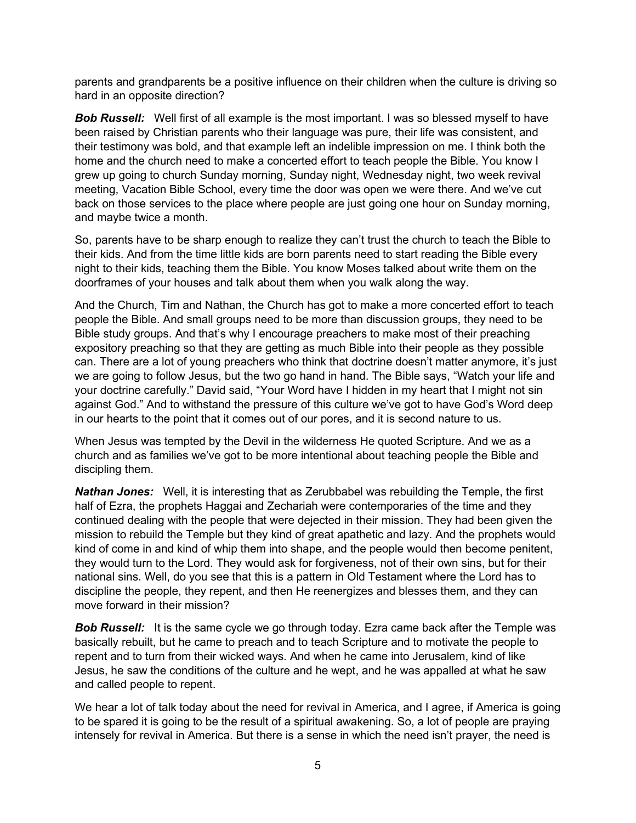parents and grandparents be a positive influence on their children when the culture is driving so hard in an opposite direction?

**Bob Russell:** Well first of all example is the most important. I was so blessed myself to have been raised by Christian parents who their language was pure, their life was consistent, and their testimony was bold, and that example left an indelible impression on me. I think both the home and the church need to make a concerted effort to teach people the Bible. You know I grew up going to church Sunday morning, Sunday night, Wednesday night, two week revival meeting, Vacation Bible School, every time the door was open we were there. And we've cut back on those services to the place where people are just going one hour on Sunday morning, and maybe twice a month.

So, parents have to be sharp enough to realize they can't trust the church to teach the Bible to their kids. And from the time little kids are born parents need to start reading the Bible every night to their kids, teaching them the Bible. You know Moses talked about write them on the doorframes of your houses and talk about them when you walk along the way.

And the Church, Tim and Nathan, the Church has got to make a more concerted effort to teach people the Bible. And small groups need to be more than discussion groups, they need to be Bible study groups. And that's why I encourage preachers to make most of their preaching expository preaching so that they are getting as much Bible into their people as they possible can. There are a lot of young preachers who think that doctrine doesn't matter anymore, it's just we are going to follow Jesus, but the two go hand in hand. The Bible says, "Watch your life and your doctrine carefully." David said, "Your Word have I hidden in my heart that I might not sin against God." And to withstand the pressure of this culture we've got to have God's Word deep in our hearts to the point that it comes out of our pores, and it is second nature to us.

When Jesus was tempted by the Devil in the wilderness He quoted Scripture. And we as a church and as families we've got to be more intentional about teaching people the Bible and discipling them.

*Nathan Jones:* Well, it is interesting that as Zerubbabel was rebuilding the Temple, the first half of Ezra, the prophets Haggai and Zechariah were contemporaries of the time and they continued dealing with the people that were dejected in their mission. They had been given the mission to rebuild the Temple but they kind of great apathetic and lazy. And the prophets would kind of come in and kind of whip them into shape, and the people would then become penitent, they would turn to the Lord. They would ask for forgiveness, not of their own sins, but for their national sins. Well, do you see that this is a pattern in Old Testament where the Lord has to discipline the people, they repent, and then He reenergizes and blesses them, and they can move forward in their mission?

**Bob Russell:** It is the same cycle we go through today. Ezra came back after the Temple was basically rebuilt, but he came to preach and to teach Scripture and to motivate the people to repent and to turn from their wicked ways. And when he came into Jerusalem, kind of like Jesus, he saw the conditions of the culture and he wept, and he was appalled at what he saw and called people to repent.

We hear a lot of talk today about the need for revival in America, and I agree, if America is going to be spared it is going to be the result of a spiritual awakening. So, a lot of people are praying intensely for revival in America. But there is a sense in which the need isn't prayer, the need is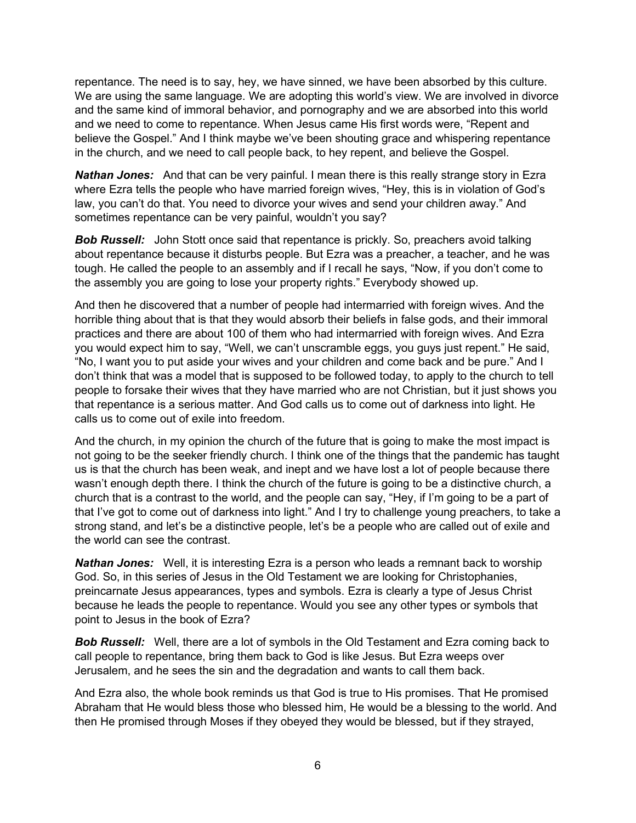repentance. The need is to say, hey, we have sinned, we have been absorbed by this culture. We are using the same language. We are adopting this world's view. We are involved in divorce and the same kind of immoral behavior, and pornography and we are absorbed into this world and we need to come to repentance. When Jesus came His first words were, "Repent and believe the Gospel." And I think maybe we've been shouting grace and whispering repentance in the church, and we need to call people back, to hey repent, and believe the Gospel.

*Nathan Jones:* And that can be very painful. I mean there is this really strange story in Ezra where Ezra tells the people who have married foreign wives, "Hey, this is in violation of God's law, you can't do that. You need to divorce your wives and send your children away." And sometimes repentance can be very painful, wouldn't you say?

**Bob Russell:** John Stott once said that repentance is prickly. So, preachers avoid talking about repentance because it disturbs people. But Ezra was a preacher, a teacher, and he was tough. He called the people to an assembly and if I recall he says, "Now, if you don't come to the assembly you are going to lose your property rights." Everybody showed up.

And then he discovered that a number of people had intermarried with foreign wives. And the horrible thing about that is that they would absorb their beliefs in false gods, and their immoral practices and there are about 100 of them who had intermarried with foreign wives. And Ezra you would expect him to say, "Well, we can't unscramble eggs, you guys just repent." He said, "No, I want you to put aside your wives and your children and come back and be pure." And I don't think that was a model that is supposed to be followed today, to apply to the church to tell people to forsake their wives that they have married who are not Christian, but it just shows you that repentance is a serious matter. And God calls us to come out of darkness into light. He calls us to come out of exile into freedom.

And the church, in my opinion the church of the future that is going to make the most impact is not going to be the seeker friendly church. I think one of the things that the pandemic has taught us is that the church has been weak, and inept and we have lost a lot of people because there wasn't enough depth there. I think the church of the future is going to be a distinctive church, a church that is a contrast to the world, and the people can say, "Hey, if I'm going to be a part of that I've got to come out of darkness into light." And I try to challenge young preachers, to take a strong stand, and let's be a distinctive people, let's be a people who are called out of exile and the world can see the contrast.

*Nathan Jones:* Well, it is interesting Ezra is a person who leads a remnant back to worship God. So, in this series of Jesus in the Old Testament we are looking for Christophanies, preincarnate Jesus appearances, types and symbols. Ezra is clearly a type of Jesus Christ because he leads the people to repentance. Would you see any other types or symbols that point to Jesus in the book of Ezra?

**Bob Russell:** Well, there are a lot of symbols in the Old Testament and Ezra coming back to call people to repentance, bring them back to God is like Jesus. But Ezra weeps over Jerusalem, and he sees the sin and the degradation and wants to call them back.

And Ezra also, the whole book reminds us that God is true to His promises. That He promised Abraham that He would bless those who blessed him, He would be a blessing to the world. And then He promised through Moses if they obeyed they would be blessed, but if they strayed,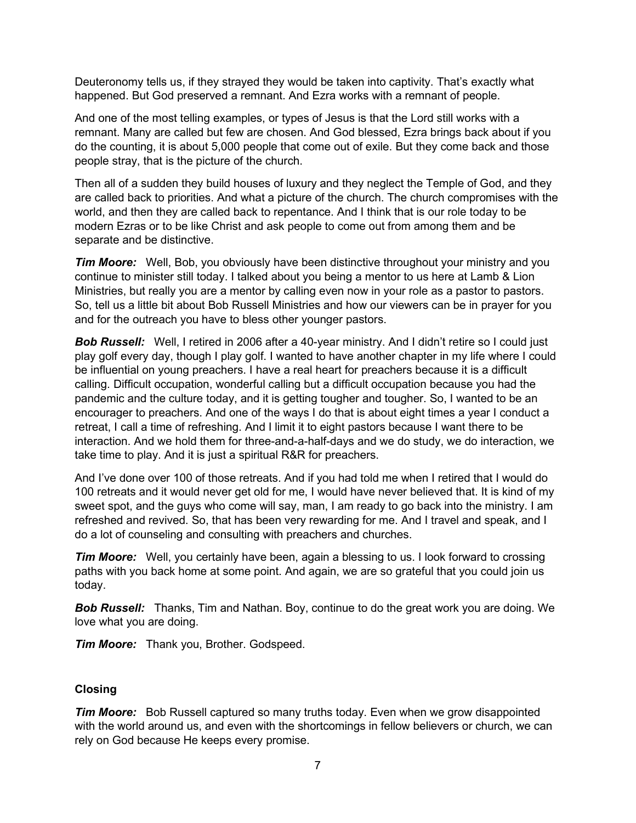Deuteronomy tells us, if they strayed they would be taken into captivity. That's exactly what happened. But God preserved a remnant. And Ezra works with a remnant of people.

And one of the most telling examples, or types of Jesus is that the Lord still works with a remnant. Many are called but few are chosen. And God blessed, Ezra brings back about if you do the counting, it is about 5,000 people that come out of exile. But they come back and those people stray, that is the picture of the church.

Then all of a sudden they build houses of luxury and they neglect the Temple of God, and they are called back to priorities. And what a picture of the church. The church compromises with the world, and then they are called back to repentance. And I think that is our role today to be modern Ezras or to be like Christ and ask people to come out from among them and be separate and be distinctive.

*Tim Moore:* Well, Bob, you obviously have been distinctive throughout your ministry and you continue to minister still today. I talked about you being a mentor to us here at Lamb & Lion Ministries, but really you are a mentor by calling even now in your role as a pastor to pastors. So, tell us a little bit about Bob Russell Ministries and how our viewers can be in prayer for you and for the outreach you have to bless other younger pastors.

**Bob Russell:** Well, I retired in 2006 after a 40-year ministry. And I didn't retire so I could just play golf every day, though I play golf. I wanted to have another chapter in my life where I could be influential on young preachers. I have a real heart for preachers because it is a difficult calling. Difficult occupation, wonderful calling but a difficult occupation because you had the pandemic and the culture today, and it is getting tougher and tougher. So, I wanted to be an encourager to preachers. And one of the ways I do that is about eight times a year I conduct a retreat, I call a time of refreshing. And I limit it to eight pastors because I want there to be interaction. And we hold them for three-and-a-half-days and we do study, we do interaction, we take time to play. And it is just a spiritual R&R for preachers.

And I've done over 100 of those retreats. And if you had told me when I retired that I would do 100 retreats and it would never get old for me, I would have never believed that. It is kind of my sweet spot, and the guys who come will say, man, I am ready to go back into the ministry. I am refreshed and revived. So, that has been very rewarding for me. And I travel and speak, and I do a lot of counseling and consulting with preachers and churches.

*Tim Moore:* Well, you certainly have been, again a blessing to us. I look forward to crossing paths with you back home at some point. And again, we are so grateful that you could join us today.

*Bob Russell:* Thanks, Tim and Nathan. Boy, continue to do the great work you are doing. We love what you are doing.

*Tim Moore:* Thank you, Brother. Godspeed.

## **Closing**

*Tim Moore:* Bob Russell captured so many truths today. Even when we grow disappointed with the world around us, and even with the shortcomings in fellow believers or church, we can rely on God because He keeps every promise.